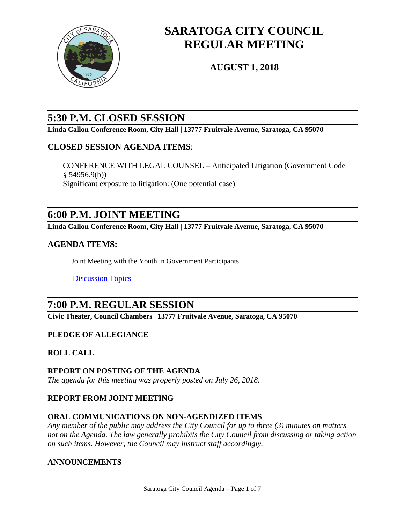

# **SARATOGA CITY COUNCIL REGULAR MEETING**

**AUGUST 1, 2018**

## **5:30 P.M. CLOSED SESSION**

**Linda Callon Conference Room, City Hall | 13777 Fruitvale Avenue, Saratoga, CA 95070**

## **CLOSED SESSION AGENDA ITEMS**:

CONFERENCE WITH LEGAL COUNSEL – Anticipated Litigation (Government Code  $§ 54956.9(b))$ Significant exposure to litigation: (One potential case)

## **6:00 P.M. JOINT MEETING**

**Linda Callon Conference Room, City Hall | 13777 Fruitvale Avenue, Saratoga, CA 95070**

## **AGENDA ITEMS:**

Joint Meeting with the Youth in Government Participants

[Discussion Topics](https://legistarweb-production.s3.amazonaws.com/uploads/attachment/pdf/218422/2018_08_01_Joint_Meeting_-_Youth_in_Government.pdf)

## **7:00 P.M. REGULAR SESSION**

**Civic Theater, Council Chambers | 13777 Fruitvale Avenue, Saratoga, CA 95070**

## **PLEDGE OF ALLEGIANCE**

#### **ROLL CALL**

## **REPORT ON POSTING OF THE AGENDA**

*The agenda for this meeting was properly posted on July 26, 2018.*

## **REPORT FROM JOINT MEETING**

## **ORAL COMMUNICATIONS ON NON-AGENDIZED ITEMS**

*Any member of the public may address the City Council for up to three (3) minutes on matters not on the Agenda. The law generally prohibits the City Council from discussing or taking action on such items. However, the Council may instruct staff accordingly.*

#### **ANNOUNCEMENTS**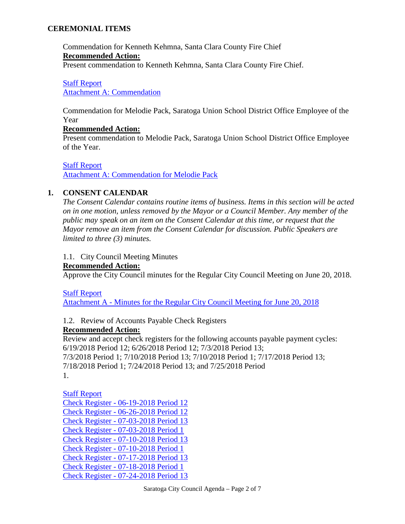#### **CEREMONIAL ITEMS**

Commendation for Kenneth Kehmna, Santa Clara County Fire Chief **Recommended Action:** Present commendation to Kenneth Kehmna, Santa Clara County Fire Chief.

## [Staff Report](https://legistarweb-production.s3.amazonaws.com/uploads/attachment/pdf/207455/2018_08_01_Chief_Kehmna_staff_report.pdf)

[Attachment A: Commendation](https://legistarweb-production.s3.amazonaws.com/uploads/attachment/pdf/207456/Chief_Kehmna_commendation-ed.pdf)

Commendation for Melodie Pack, Saratoga Union School District Office Employee of the Year

#### **Recommended Action:**

Present commendation to Melodie Pack, Saratoga Union School District Office Employee of the Year.

[Staff Report](https://legistarweb-production.s3.amazonaws.com/uploads/attachment/pdf/212560/2018_08_01_Melodie_Pack_staff_report.pdf) [Attachment A: Commendation for Melodie Pack](https://legistarweb-production.s3.amazonaws.com/uploads/attachment/pdf/217151/mELODIE_pACK.pdf)

### **1. CONSENT CALENDAR**

*The Consent Calendar contains routine items of business. Items in this section will be acted on in one motion, unless removed by the Mayor or a Council Member. Any member of the public may speak on an item on the Consent Calendar at this time, or request that the Mayor remove an item from the Consent Calendar for discussion. Public Speakers are limited to three (3) minutes.* 

#### 1.1. City Council Meeting Minutes

#### **Recommended Action:**

Approve the City Council minutes for the Regular City Council Meeting on June 20, 2018.

[Staff Report](https://legistarweb-production.s3.amazonaws.com/uploads/attachment/pdf/213464/Staff_Report.pdf)

Attachment A - [Minutes for the Regular City Council Meeting for June 20, 2018](https://legistarweb-production.s3.amazonaws.com/uploads/attachment/pdf/213483/Attachment_A_-_Minutes_for_the_Regular_City_Council_Meeting_of_June_20__2018.pdf)

1.2. Review of Accounts Payable Check Registers

#### **Recommended Action:**

Review and accept check registers for the following accounts payable payment cycles: 6/19/2018 Period 12; 6/26/2018 Period 12; 7/3/2018 Period 13; 7/3/2018 Period 1; 7/10/2018 Period 13; 7/10/2018 Period 1; 7/17/2018 Period 13; 7/18/2018 Period 1; 7/24/2018 Period 13; and 7/25/2018 Period 1.

## [Staff Report](https://legistarweb-production.s3.amazonaws.com/uploads/attachment/pdf/218198/Council_Check_Register_-_Meeting_08-01-2018.pdf)

Check Register - [06-19-2018 Period 12](https://legistarweb-production.s3.amazonaws.com/uploads/attachment/pdf/218199/Check_Register_-_06-19-2018_P12.pdf) Check Register - [06-26-2018 Period 12](https://legistarweb-production.s3.amazonaws.com/uploads/attachment/pdf/218200/Check_Register_-_06-26-2018_P12.pdf) Check Register - [07-03-2018 Period 13](https://legistarweb-production.s3.amazonaws.com/uploads/attachment/pdf/218201/Check_Register_-_07-03-2018_P13.pdf) Check Register - [07-03-2018 Period 1](https://legistarweb-production.s3.amazonaws.com/uploads/attachment/pdf/218202/Check_Register_-_07-03-2018_P1.pdf) Check Register - [07-10-2018 Period 13](https://legistarweb-production.s3.amazonaws.com/uploads/attachment/pdf/218203/Check_Register_-_07-10-2018_P13.pdf) Check Register - [07-10-2018 Period 1](https://legistarweb-production.s3.amazonaws.com/uploads/attachment/pdf/218204/Check_Register_-_07-10-2018_P1.pdf) Check Register - [07-17-2018 Period 13](https://legistarweb-production.s3.amazonaws.com/uploads/attachment/pdf/218205/Check_Register_-_07-17-2018_P13.pdf) Check Register - [07-18-2018 Period 1](https://legistarweb-production.s3.amazonaws.com/uploads/attachment/pdf/218206/Check_Register_-_07-18-2018_P1.pdf) Check Register - [07-24-2018 Period 13](https://legistarweb-production.s3.amazonaws.com/uploads/attachment/pdf/218208/Check_Register_-_07-24-2018_P13.pdf)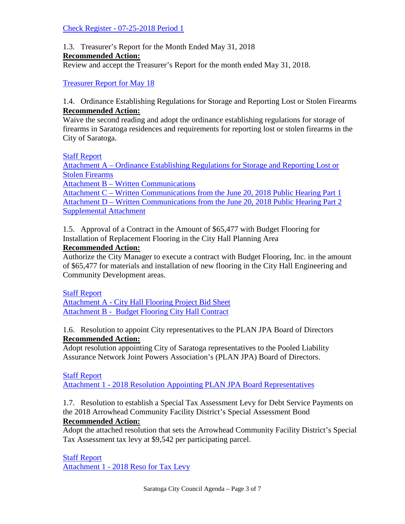#### Check Register - [07-25-2018 Period 1](https://legistarweb-production.s3.amazonaws.com/uploads/attachment/pdf/218209/Check_Register_-_07-25-2018_P1.pdf)

1.3. Treasurer's Report for the Month Ended May 31, 2018

### **Recommended Action:**

Review and accept the Treasurer's Report for the month ended May 31, 2018.

[Treasurer Report for May 18](https://legistarweb-production.s3.amazonaws.com/uploads/attachment/pdf/216562/Treasurer_Report_for_May_18_-_CC_Meeting_08012018.pdf) 

#### 1.4. Ordinance Establishing Regulations for Storage and Reporting Lost or Stolen Firearms **Recommended Action:**

Waive the second reading and adopt the ordinance establishing regulations for storage of firearms in Saratoga residences and requirements for reporting lost or stolen firearms in the City of Saratoga.

[Staff Report](https://legistarweb-production.s3.amazonaws.com/uploads/attachment/pdf/218417/2018_08_01_Staff_Report_-_Firearms_Storage_Ordinance.pdf)

Attachment A – [Ordinance Establishing Regulations for Storage and Reporting Lost or](https://legistarweb-production.s3.amazonaws.com/uploads/attachment/pdf/217196/Attachment_A___Ordinance_Establishing_Regulations_for_Storage_and_Reporting_Lost_or_Stolen_Firearms.pdf)  [Stolen Firearms](https://legistarweb-production.s3.amazonaws.com/uploads/attachment/pdf/217196/Attachment_A___Ordinance_Establishing_Regulations_for_Storage_and_Reporting_Lost_or_Stolen_Firearms.pdf)

Attachment B – [Written Communications](https://legistarweb-production.s3.amazonaws.com/uploads/attachment/pdf/218418/Attachment_B_-_Written_Communications_Received_After_Public_Hearing.pdf)

Attachment C – [Written Communications from the June 20, 2018 Public Hearing Part 1](https://legistarweb-production.s3.amazonaws.com/uploads/attachment/pdf/218419/Attachment_C___Written_Communications_from_the_June_20__2018_Public_Hearing_Part_1.pdf) Attachment D – [Written Communications from the June 20, 2018 Public Hearing Part 2](https://legistarweb-production.s3.amazonaws.com/uploads/attachment/pdf/218420/Attachment_D___Written_Communications_from_the_June_20__2018_Public_Hearing_Part_2.pdf) [Supplemental Attachment](https://legistarweb-production.s3.amazonaws.com/uploads/attachment/pdf/221011/Supplemental_Attachment.pdf)

1.5. Approval of a Contract in the Amount of \$65,477 with Budget Flooring for Installation of Replacement Flooring in the City Hall Planning Area

## **Recommended Action:**

Authorize the City Manager to execute a contract with Budget Flooring, Inc. in the amount of \$65,477 for materials and installation of new flooring in the City Hall Engineering and Community Development areas.

## [Staff Report](https://legistarweb-production.s3.amazonaws.com/uploads/attachment/pdf/217495/2018-08-01_Approval_of_a_Contract_with_Budget_Flooring_for_Installation_of_Replacement_Flooring_in_the_Planning_Area.pdf)

Attachment A - [City Hall Flooring Project Bid Sheet](https://legistarweb-production.s3.amazonaws.com/uploads/attachment/pdf/217496/A_-_City_Hall_Flooring_Project_Bid_Sheet.pdf) [Attachment B - Budget Flooring City Hall Contract](https://legistarweb-production.s3.amazonaws.com/uploads/attachment/pdf/217511/B_-_2018-06-28__Budget_Flooring_City_Hall_Contract_-_Public_Works_175k_or_Less_082015.pdf) 

1.6. Resolution to appoint City representatives to the PLAN JPA Board of Directors **Recommended Action:**

Adopt resolution appointing City of Saratoga representatives to the Pooled Liability Assurance Network Joint Powers Association's (PLAN JPA) Board of Directors.

#### [Staff Report](https://legistarweb-production.s3.amazonaws.com/uploads/attachment/pdf/217709/2018_RTC_-_PLAN_JPA_Board_Representative_Appointments.pdf)

Attachment 1 - [2018 Resolution Appointing PLAN JPA Board Representatives](https://legistarweb-production.s3.amazonaws.com/uploads/attachment/pdf/217710/Attachement_1_-_2018_Resolution_Appointing_PLAN_JPA_Board_Representatives.pdf)

1.7. Resolution to establish a Special Tax Assessment Levy for Debt Service Payments on the 2018 Arrowhead Community Facility District's Special Assessment Bond **Recommended Action:**

Adopt the attached resolution that sets the Arrowhead Community Facility District's Special Tax Assessment tax levy at \$9,542 per participating parcel.

## [Staff Report](https://legistarweb-production.s3.amazonaws.com/uploads/attachment/pdf/218404/2018_RTC_-_Tax_Levy.pdf)

Attachment 1 - [2018 Reso for Tax Levy](https://legistarweb-production.s3.amazonaws.com/uploads/attachment/pdf/218270/Attachment_1_-_2018_Reso_for_Tax_Levy.pdf)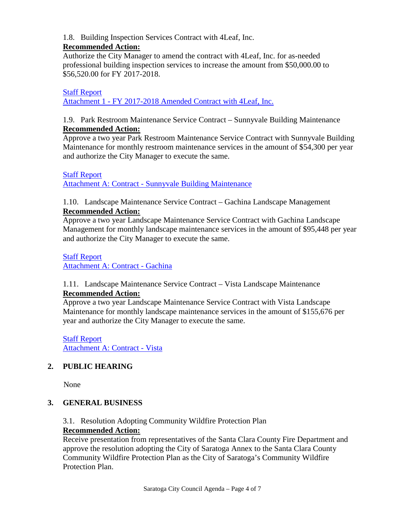#### 1.8. Building Inspection Services Contract with 4Leaf, Inc.

### **Recommended Action:**

Authorize the City Manager to amend the contract with 4Leaf, Inc. for as-needed professional building inspection services to increase the amount from \$50,000.00 to \$56,520.00 for FY 2017-2018.

#### [Staff Report](https://legistarweb-production.s3.amazonaws.com/uploads/attachment/pdf/218259/4Leaf_contract_SR_8-1-18.pdf)

Attachment 1 - [FY 2017-2018 Amended Contract with 4Leaf, Inc.](https://legistarweb-production.s3.amazonaws.com/uploads/attachment/pdf/219013/4Leaf_Contract_amendment_FY2017-18_8-1-18pdf.pdf)

#### 1.9. Park Restroom Maintenance Service Contract – Sunnyvale Building Maintenance **Recommended Action:**

Approve a two year Park Restroom Maintenance Service Contract with Sunnyvale Building Maintenance for monthly restroom maintenance services in the amount of \$54,300 per year and authorize the City Manager to execute the same.

#### [Staff Report](https://legistarweb-production.s3.amazonaws.com/uploads/attachment/pdf/218381/Sunnyvale_Building_Maintenance_Contract_2018.pdf)

Attachment A: Contract - [Sunnyvale Building Maintenance](https://legistarweb-production.s3.amazonaws.com/uploads/attachment/pdf/218382/Contract_-_Sunnyvale_Building_Maintenance.pdf)

#### 1.10. Landscape Maintenance Service Contract – Gachina Landscape Management **Recommended Action:**

Approve a two year Landscape Maintenance Service Contract with Gachina Landscape Management for monthly landscape maintenance services in the amount of \$95,448 per year and authorize the City Manager to execute the same.

### [Staff Report](https://legistarweb-production.s3.amazonaws.com/uploads/attachment/pdf/218383/Gachina_Contract_2018.pdf)

[Attachment A: Contract -](https://legistarweb-production.s3.amazonaws.com/uploads/attachment/pdf/218384/Contract_-_Gachina.pdf) Gachina

#### 1.11. Landscape Maintenance Service Contract – Vista Landscape Maintenance **Recommended Action:**

Approve a two year Landscape Maintenance Service Contract with Vista Landscape Maintenance for monthly landscape maintenance services in the amount of \$155,676 per year and authorize the City Manager to execute the same.

[Staff Report](https://legistarweb-production.s3.amazonaws.com/uploads/attachment/pdf/218391/Vsta_Contract_2018.pdf) [Attachment A: Contract -](https://legistarweb-production.s3.amazonaws.com/uploads/attachment/pdf/218392/Contract_-_Vista.pdf) Vista

## **2. PUBLIC HEARING**

None

## **3. GENERAL BUSINESS**

### 3.1. Resolution Adopting Community Wildfire Protection Plan **Recommended Action:**

Receive presentation from representatives of the Santa Clara County Fire Department and approve the resolution adopting the City of Saratoga Annex to the Santa Clara County Community Wildfire Protection Plan as the City of Saratoga's Community Wildfire Protection Plan.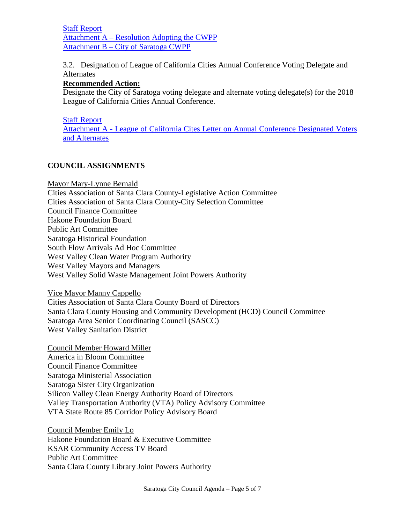[Staff Report](https://legistarweb-production.s3.amazonaws.com/uploads/attachment/pdf/217284/2018_08_01_Staff_Report_-_CWPP.pdf) Attachment A – [Resolution Adopting the CWPP](https://legistarweb-production.s3.amazonaws.com/uploads/attachment/pdf/217283/Attachment_A___Resolution_Adopting_the_CWPP.pdf) Attachment B – [City of Saratoga CWPP](https://legistarweb-production.s3.amazonaws.com/uploads/attachment/pdf/217285/Attachment_B___City_of_Saratoga_CWPP.pdf)

3.2. Designation of League of California Cities Annual Conference Voting Delegate and **Alternates** 

#### **Recommended Action:**

Designate the City of Saratoga voting delegate and alternate voting delegate(s) for the 2018 League of California Cities Annual Conference.

#### [Staff Report](https://legistarweb-production.s3.amazonaws.com/uploads/attachment/pdf/215975/2018_08_01_Staff_Report_-_League_Voting_Delegate_Selection.pdf)

Attachment A - [League of California Cites Letter on Annual Conference Designated Voters](https://legistarweb-production.s3.amazonaws.com/uploads/attachment/pdf/215977/Voting_Delegate_Letter_and_form.pdf)  [and Alternates](https://legistarweb-production.s3.amazonaws.com/uploads/attachment/pdf/215977/Voting_Delegate_Letter_and_form.pdf)

#### **COUNCIL ASSIGNMENTS**

Mayor Mary-Lynne Bernald Cities Association of Santa Clara County-Legislative Action Committee Cities Association of Santa Clara County-City Selection Committee Council Finance Committee Hakone Foundation Board Public Art Committee Saratoga Historical Foundation South Flow Arrivals Ad Hoc Committee West Valley Clean Water Program Authority West Valley Mayors and Managers West Valley Solid Waste Management Joint Powers Authority

Vice Mayor Manny Cappello

Cities Association of Santa Clara County Board of Directors Santa Clara County Housing and Community Development (HCD) Council Committee Saratoga Area Senior Coordinating Council (SASCC) West Valley Sanitation District

Council Member Howard Miller America in Bloom Committee Council Finance Committee Saratoga Ministerial Association Saratoga Sister City Organization Silicon Valley Clean Energy Authority Board of Directors Valley Transportation Authority (VTA) Policy Advisory Committee VTA State Route 85 Corridor Policy Advisory Board

Council Member Emily Lo Hakone Foundation Board & Executive Committee KSAR Community Access TV Board Public Art Committee Santa Clara County Library Joint Powers Authority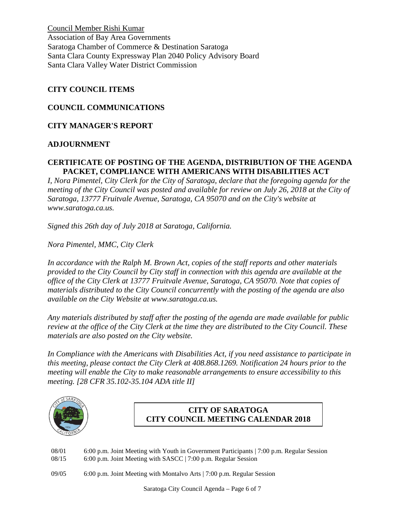Council Member Rishi Kumar Association of Bay Area Governments Saratoga Chamber of Commerce & Destination Saratoga Santa Clara County Expressway Plan 2040 Policy Advisory Board Santa Clara Valley Water District Commission

#### **CITY COUNCIL ITEMS**

#### **COUNCIL COMMUNICATIONS**

#### **CITY MANAGER'S REPORT**

#### **ADJOURNMENT**

#### **CERTIFICATE OF POSTING OF THE AGENDA, DISTRIBUTION OF THE AGENDA PACKET, COMPLIANCE WITH AMERICANS WITH DISABILITIES ACT**

*I, Nora Pimentel, City Clerk for the City of Saratoga, declare that the foregoing agenda for the meeting of the City Council was posted and available for review on July 26, 2018 at the City of Saratoga, 13777 Fruitvale Avenue, Saratoga, CA 95070 and on the City's website at www.saratoga.ca.us.* 

*Signed this 26th day of July 2018 at Saratoga, California.* 

*Nora Pimentel, MMC, City Clerk*

*In accordance with the Ralph M. Brown Act, copies of the staff reports and other materials provided to the City Council by City staff in connection with this agenda are available at the office of the City Clerk at 13777 Fruitvale Avenue, Saratoga, CA 95070. Note that copies of materials distributed to the City Council concurrently with the posting of the agenda are also available on the City Website at www.saratoga.ca.us.*

*Any materials distributed by staff after the posting of the agenda are made available for public review at the office of the City Clerk at the time they are distributed to the City Council. These materials are also posted on the City website.* 

*In Compliance with the Americans with Disabilities Act, if you need assistance to participate in this meeting, please contact the City Clerk at 408.868.1269. Notification 24 hours prior to the meeting will enable the City to make reasonable arrangements to ensure accessibility to this meeting. [28 CFR 35.102-35.104 ADA title II]*



## **CITY OF SARATOGA CITY COUNCIL MEETING CALENDAR 2018**

08/01 6:00 p.m. Joint Meeting with Youth in Government Participants | 7:00 p.m. Regular Session 08/15 6:00 p.m. Joint Meeting with SASCC | 7:00 p.m. Regular Session

09/05 6:00 p.m. Joint Meeting with Montalvo Arts | 7:00 p.m. Regular Session

Saratoga City Council Agenda – Page 6 of 7